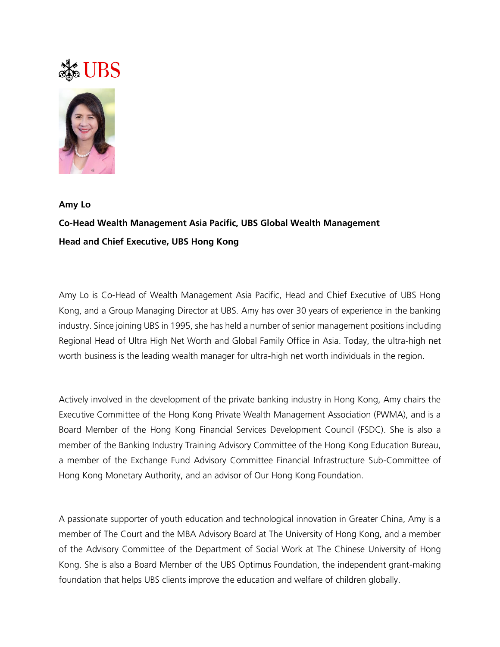## Ste UBS



## **Amy Lo Co-Head Wealth Management Asia Pacific, UBS Global Wealth Management Head and Chief Executive, UBS Hong Kong**

Amy Lo is Co-Head of Wealth Management Asia Pacific, Head and Chief Executive of UBS Hong Kong, and a Group Managing Director at UBS. Amy has over 30 years of experience in the banking industry. Since joining UBS in 1995, she has held a number of senior management positions including Regional Head of Ultra High Net Worth and Global Family Office in Asia. Today, the ultra-high net worth business is the leading wealth manager for ultra-high net worth individuals in the region.

Actively involved in the development of the private banking industry in Hong Kong, Amy chairs the Executive Committee of the Hong Kong Private Wealth Management Association (PWMA), and is a Board Member of the Hong Kong Financial Services Development Council (FSDC). She is also a member of the Banking Industry Training Advisory Committee of the Hong Kong Education Bureau, a member of the Exchange Fund Advisory Committee Financial Infrastructure Sub-Committee of Hong Kong Monetary Authority, and an advisor of Our Hong Kong Foundation.

A passionate supporter of youth education and technological innovation in Greater China, Amy is a member of The Court and the MBA Advisory Board at The University of Hong Kong, and a member of the Advisory Committee of the Department of Social Work at The Chinese University of Hong Kong. She is also a Board Member of the UBS Optimus Foundation, the independent grant-making foundation that helps UBS clients improve the education and welfare of children globally.